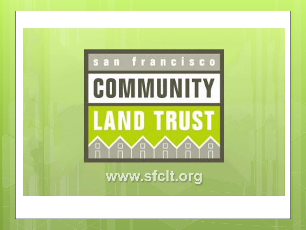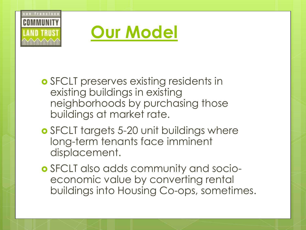



- **o** SFCLT preserves existing residents in existing buildings in existing neighborhoods by purchasing those buildings at market rate.
- **o** SFCLT targets 5-20 unit buildings where long-term tenants face imminent displacement.
- SFCLT also adds community and socioeconomic value by converting rental buildings into Housing Co-ops, sometimes.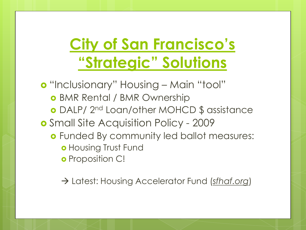## **City of San Francisco's "Strategic" Solutions**

o "Inclusionary" Housing – Main "tool" BMR Rental / BMR Ownership DALP/ 2nd Loan/other MOHCD \$ assistance **o** Small Site Acquisition Policy - 2009 Funded By community led ballot measures: **o** Housing Trust Fund o Proposition C!

Latest: Housing Accelerator Fund (*sfhaf.org*)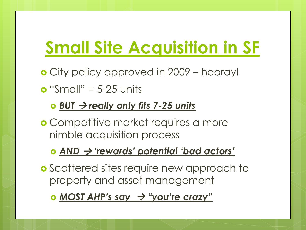# **Small Site Acquisition in SF**

- City policy approved in 2009 hooray!
- $\bullet$  "Small" = 5-25 units

### *BUT really only fits 7-25 units*

 Competitive market requires a more nimble acquisition process

### *AND 'rewards' potential 'bad actors'*

- **o** Scattered sites require new approach to property and asset management
	- *<u>MOST AHP's say → "you're crazy"</u>*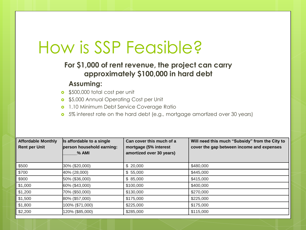## How is SSP Feasible?

#### **For \$1,000 of rent revenue, the project can carry approximately \$100,000 in hard debt**

#### **Assuming:**

- **•** \$500,000 total cost per unit
- **o** \$5,000 Annual Operating Cost per Unit
- **o** 1.10 Minimum Debt Service Coverage Ratio
- **o** 5% interest rate on the hard debt (e.g., mortgage amortized over 30 years)

| <b>Affordable Monthly</b><br><b>Rent per Unit</b> | Is affordable to a single<br>person household earning:<br>$%$ AMI | Can cover this much of a<br>mortgage (5% interest<br>amortized over 30 years) | Will need this much "Subsidy" from the City to<br>cover the gap between income and expenses |
|---------------------------------------------------|-------------------------------------------------------------------|-------------------------------------------------------------------------------|---------------------------------------------------------------------------------------------|
| \$500                                             | 30% (\$20,000)                                                    | \$20,000                                                                      | \$480,000                                                                                   |
| \$700                                             | 40% (28,000)                                                      | \$55,000                                                                      | \$445,000                                                                                   |
| \$900                                             | 50% (\$36,000)                                                    | \$85,000                                                                      | \$415,000                                                                                   |
| \$1,000                                           | 60% (\$43,000)                                                    | \$100,000                                                                     | \$400,000                                                                                   |
| \$1,200                                           | 70% (\$50,000)                                                    | \$130,000                                                                     | \$270,000                                                                                   |
| \$1,500                                           | 80% (\$57,000)                                                    | \$175,000                                                                     | \$225,000                                                                                   |
| \$1,800                                           | 100% (\$71,000)                                                   | \$225,000                                                                     | \$175,000                                                                                   |
| \$2,200                                           | 120% (\$85,000)                                                   | \$285,000                                                                     | \$115,000                                                                                   |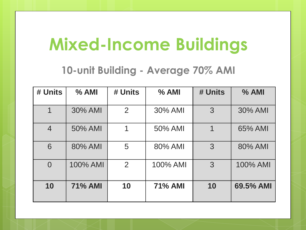# **Mixed-Income Buildings**

### **10-unit Building - Average 70% AMI**

| # Units        | % AMI          | # Units | % AMI          | # Units | % AMI     |
|----------------|----------------|---------|----------------|---------|-----------|
|                | 30% AMI        | 2       | 30% AMI        | 3       | 30% AMI   |
| $\overline{4}$ | 50% AMI        |         | 50% AMI        | 1       | 65% AMI   |
| 6              | 80% AMI        | 5       | 80% AMI        | 3       | 80% AMI   |
| $\overline{0}$ | 100% AMI       | 2       | 100% AMI       | 3       | 100% AMI  |
| 10             | <b>71% AMI</b> | 10      | <b>71% AMI</b> | 10      | 69.5% AMI |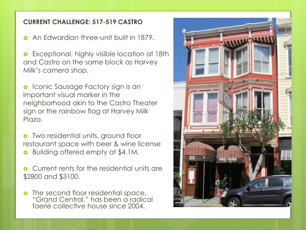#### **CURRENT CHALLENGE: 517-519 CASTRO**

An Edwardian three-unit built in 1879.

**o** Exceptional, highly visible location at 18th and Castro on the same block as Harvey Milk's camera shop.

**o** Iconic Sausage Factory sign is an important visual marker in the neighborhood akin to the Castro Theater sign or the rainbow flag at Harvey Milk Plaza.

**o** Two residential units, ground floor restaurant space with beer & wine license **o** Building offered empty at \$4.1M.

**o** Current rents for the residential units are \$2800 and \$3100.

**o** The second floor residential space, "Grand Central," has been a radical faerie collective house since 2004.